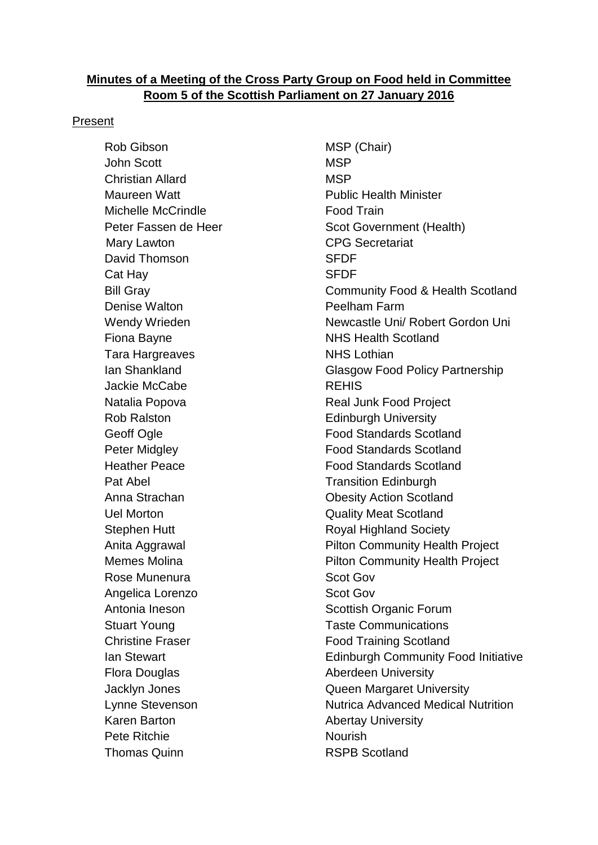#### **Minutes of a Meeting of the Cross Party Group on Food held in Committee Room 5 of the Scottish Parliament on 27 January 2016**

#### Present

Rob Gibson MSP (Chair) John Scott MSP Christian Allard MSP Maureen Watt **Number 19 Studies 19 Number 2018** Public Health Minister Michelle McCrindle **Food Train** Mary Lawton **CPG** Secretariat David Thomson SFDF Cat Hay SFDF Denise Walton **Peelham Farm** Fiona Bayne **NHS** Health Scotland Tara Hargreaves NHS Lothian Jackie McCabe **REHIS** Rob Ralston **Edinburgh University** Pat Abel **Transition Edinburgh** Uel Morton Quality Meat Scotland Rose Munenura **Scot Gov** Angelica Lorenzo **Scot Gov** Flora Douglas **Aberdeen University** Karen Barton **Abertay University** Pete Ritchie Nourish Thomas Quinn **RSPB** Scotland

Peter Fassen de Heer Scot Government (Health) Bill Gray Community Food & Health Scotland Wendy Wrieden Newcastle Uni/ Robert Gordon Uni Ian Shankland Glasgow Food Policy Partnership Natalia Popova **Real Junk Food Project** Geoff Ogle **Food Standards Scotland** Peter Midgley **Food Standards Scotland** Heather Peace **Food Standards Scotland** Anna Strachan **Obesity Action Scotland** Stephen Hutt **Royal Highland Society** Anita Aggrawal **Pilton Community Health Project** Memes Molina **Pilton Community Health Project** Antonia Ineson Scottish Organic Forum Stuart Young Taste Communications Christine Fraser **Food Training Scotland** Ian Stewart **Edinburgh Community Food Initiative** Jacklyn Jones Queen Margaret University Lynne Stevenson **Nutrica Advanced Medical Nutrition**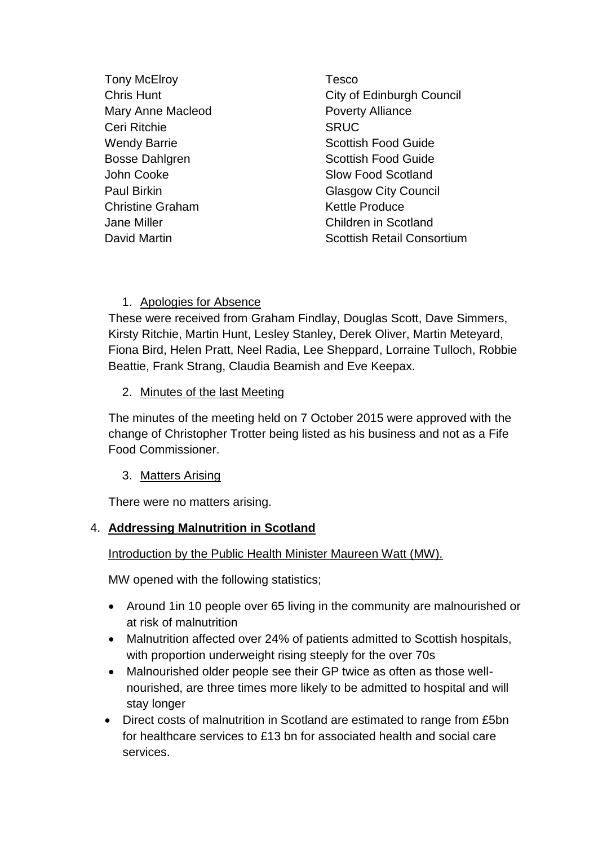- Tony McElroy **Tesco** Mary Anne Macleod **Poverty Alliance** Ceri Ritchie SRUC John Cooke Slow Food Scotland Christine Graham Kettle Produce
- **Chris Hunt Chris Hunt City of Edinburgh Council** Wendy Barrie **Scottish Food Guide** Scottish Food Guide Bosse Dahlgren Scottish Food Guide Paul Birkin Glasgow City Council Jane Miller Children in Scotland David Martin **National Consortium** Scottish Retail Consortium

### 1. Apologies for Absence

These were received from Graham Findlay, Douglas Scott, Dave Simmers, Kirsty Ritchie, Martin Hunt, Lesley Stanley, Derek Oliver, Martin Meteyard, Fiona Bird, Helen Pratt, Neel Radia, Lee Sheppard, Lorraine Tulloch, Robbie Beattie, Frank Strang, Claudia Beamish and Eve Keepax.

### 2. Minutes of the last Meeting

The minutes of the meeting held on 7 October 2015 were approved with the change of Christopher Trotter being listed as his business and not as a Fife Food Commissioner.

### 3. Matters Arising

There were no matters arising.

## 4. **Addressing Malnutrition in Scotland**

Introduction by the Public Health Minister Maureen Watt (MW).

MW opened with the following statistics;

- Around 1 in 10 people over 65 living in the community are malnourished or at risk of malnutrition
- Malnutrition affected over 24% of patients admitted to Scottish hospitals, with proportion underweight rising steeply for the over 70s
- Malnourished older people see their GP twice as often as those wellnourished, are three times more likely to be admitted to hospital and will stay longer
- Direct costs of malnutrition in Scotland are estimated to range from £5bn for healthcare services to £13 bn for associated health and social care services.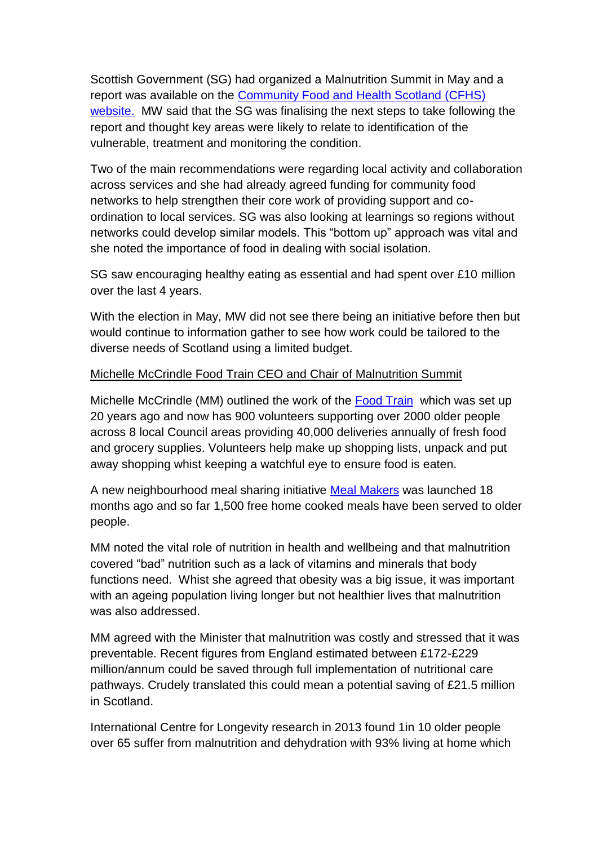Scottish Government (SG) had organized a Malnutrition Summit in May and a report was available on the [Community Food and Health Scotland \(CFHS\)](http://www.communityfoodandhealth.org.uk/wp-content/uploads/2015/11/malnutrition-summit-report.pdf) [website.](http://www.communityfoodandhealth.org.uk/wp-content/uploads/2015/11/malnutrition-summit-report.pdf) MW said that the SG was finalising the next steps to take following the report and thought key areas were likely to relate to identification of the vulnerable, treatment and monitoring the condition.

Two of the main recommendations were regarding local activity and collaboration across services and she had already agreed funding for community food networks to help strengthen their core work of providing support and coordination to local services. SG was also looking at learnings so regions without networks could develop similar models. This "bottom up" approach was vital and she noted the importance of food in dealing with social isolation.

SG saw encouraging healthy eating as essential and had spent over £10 million over the last 4 years.

With the election in May, MW did not see there being an initiative before then but would continue to information gather to see how work could be tailored to the diverse needs of Scotland using a limited budget.

### Michelle McCrindle Food Train CEO and Chair of Malnutrition Summit

Michelle McCrindle (MM) outlined the work of the [Food Train](http://thefoodtrain.co.uk/) which was set up 20 years ago and now has 900 volunteers supporting over 2000 older people across 8 local Council areas providing 40,000 deliveries annually of fresh food and grocery supplies. Volunteers help make up shopping lists, unpack and put away shopping whist keeping a watchful eye to ensure food is eaten.

A new neighbourhood meal sharing initiative [Meal Makers](http://www.thefoodtrain.co.uk/our-services/meal-makers) was launched 18 months ago and so far 1,500 free home cooked meals have been served to older people.

MM noted the vital role of nutrition in health and wellbeing and that malnutrition covered "bad" nutrition such as a lack of vitamins and minerals that body functions need. Whist she agreed that obesity was a big issue, it was important with an ageing population living longer but not healthier lives that malnutrition was also addressed.

MM agreed with the Minister that malnutrition was costly and stressed that it was preventable. Recent figures from England estimated between £172-£229 million/annum could be saved through full implementation of nutritional care pathways. Crudely translated this could mean a potential saving of £21.5 million in Scotland.

International Centre for Longevity research in 2013 found 1in 10 older people over 65 suffer from malnutrition and dehydration with 93% living at home which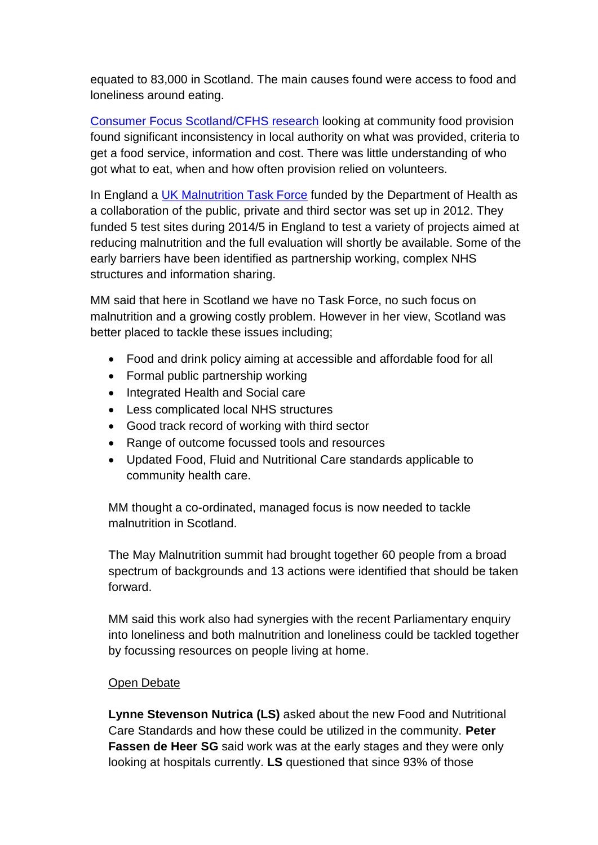equated to 83,000 in Scotland. The main causes found were access to food and loneliness around eating.

[Consumer Focus Scotland/CFHS research](http://www.communityfoodandhealth.org.uk/publications/food-services-for-older-people/) looking at community food provision found significant inconsistency in local authority on what was provided, criteria to get a food service, information and cost. There was little understanding of who got what to eat, when and how often provision relied on volunteers.

In England a [UK Malnutrition Task Force](http://www.malnutritiontaskforce.org.uk/) funded by the Department of Health as a collaboration of the public, private and third sector was set up in 2012. They funded 5 test sites during 2014/5 in England to test a variety of projects aimed at reducing malnutrition and the full evaluation will shortly be available. Some of the early barriers have been identified as partnership working, complex NHS structures and information sharing.

MM said that here in Scotland we have no Task Force, no such focus on malnutrition and a growing costly problem. However in her view, Scotland was better placed to tackle these issues including;

- Food and drink policy aiming at accessible and affordable food for all
- Formal public partnership working
- Integrated Health and Social care
- Less complicated local NHS structures
- Good track record of working with third sector
- Range of outcome focussed tools and resources
- Updated Food, Fluid and Nutritional Care standards applicable to community health care.

MM thought a co-ordinated, managed focus is now needed to tackle malnutrition in Scotland.

The May Malnutrition summit had brought together 60 people from a broad spectrum of backgrounds and 13 actions were identified that should be taken forward.

MM said this work also had synergies with the recent Parliamentary enquiry into loneliness and both malnutrition and loneliness could be tackled together by focussing resources on people living at home.

### Open Debate

**Lynne Stevenson Nutrica (LS)** asked about the new Food and Nutritional Care Standards and how these could be utilized in the community. **Peter Fassen de Heer SG** said work was at the early stages and they were only looking at hospitals currently. **LS** questioned that since 93% of those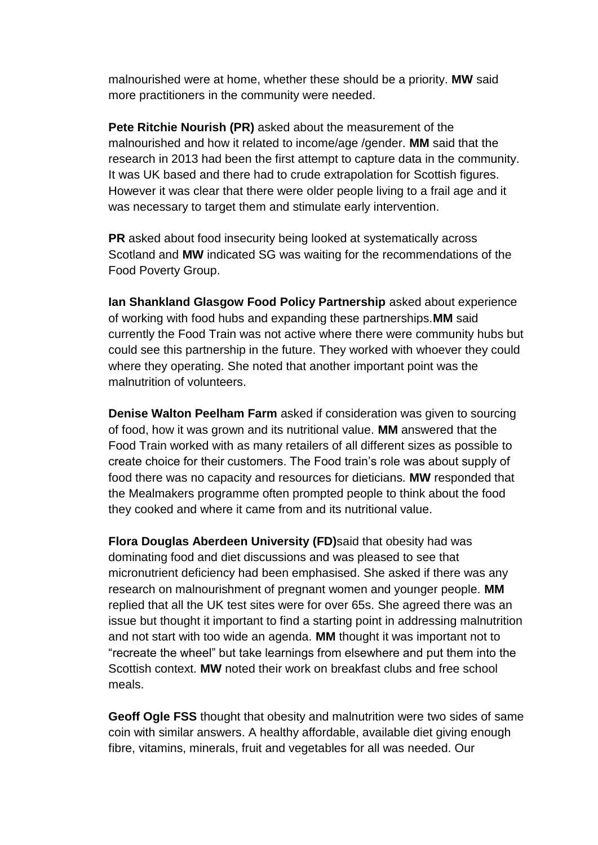malnourished were at home, whether these should be a priority. **MW** said more practitioners in the community were needed.

**Pete Ritchie Nourish (PR)** asked about the measurement of the malnourished and how it related to income/age /gender. **MM** said that the research in 2013 had been the first attempt to capture data in the community. It was UK based and there had to crude extrapolation for Scottish figures. However it was clear that there were older people living to a frail age and it was necessary to target them and stimulate early intervention.

**PR** asked about food insecurity being looked at systematically across Scotland and **MW** indicated SG was waiting for the recommendations of the Food Poverty Group.

**Ian Shankland Glasgow Food Policy Partnership** asked about experience of working with food hubs and expanding these partnerships.**MM** said currently the Food Train was not active where there were community hubs but could see this partnership in the future. They worked with whoever they could where they operating. She noted that another important point was the malnutrition of volunteers.

**Denise Walton Peelham Farm** asked if consideration was given to sourcing of food, how it was grown and its nutritional value. **MM** answered that the Food Train worked with as many retailers of all different sizes as possible to create choice for their customers. The Food train's role was about supply of food there was no capacity and resources for dieticians. **MW** responded that the Mealmakers programme often prompted people to think about the food they cooked and where it came from and its nutritional value.

**Flora Douglas Aberdeen University (FD)**said that obesity had was dominating food and diet discussions and was pleased to see that micronutrient deficiency had been emphasised. She asked if there was any research on malnourishment of pregnant women and younger people. **MM** replied that all the UK test sites were for over 65s. She agreed there was an issue but thought it important to find a starting point in addressing malnutrition and not start with too wide an agenda. **MM** thought it was important not to "recreate the wheel" but take learnings from elsewhere and put them into the Scottish context. **MW** noted their work on breakfast clubs and free school meals.

**Geoff Ogle FSS** thought that obesity and malnutrition were two sides of same coin with similar answers. A healthy affordable, available diet giving enough fibre, vitamins, minerals, fruit and vegetables for all was needed. Our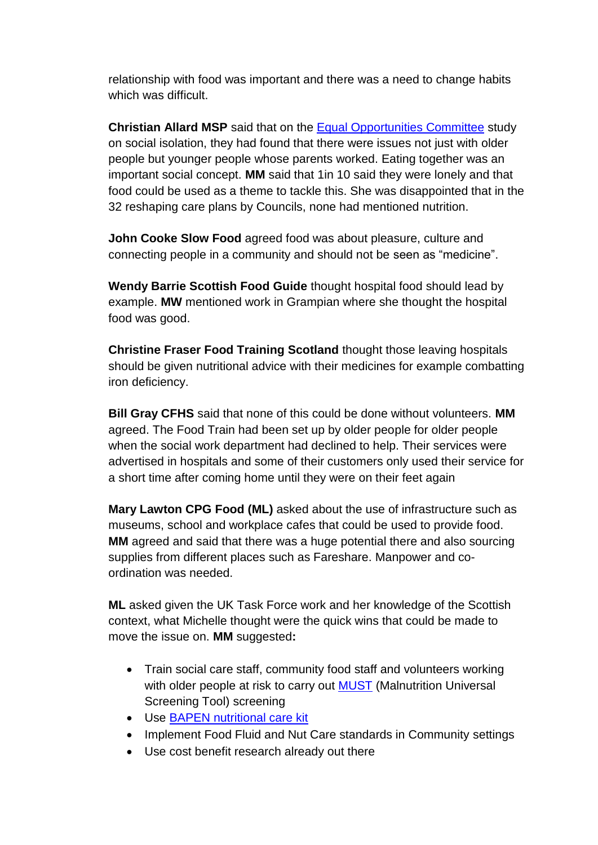relationship with food was important and there was a need to change habits which was difficult.

**Christian Allard MSP** said that on the [Equal Opportunities Committee](http://www.scottish.parliament.uk/S4_EqualOpportunitiesCommittee/Reports/EOS042015R05.pdf) study on social isolation, they had found that there were issues not just with older people but younger people whose parents worked. Eating together was an important social concept. **MM** said that 1in 10 said they were lonely and that food could be used as a theme to tackle this. She was disappointed that in the 32 reshaping care plans by Councils, none had mentioned nutrition.

**John Cooke Slow Food** agreed food was about pleasure, culture and connecting people in a community and should not be seen as "medicine".

**Wendy Barrie Scottish Food Guide** thought hospital food should lead by example. **MW** mentioned work in Grampian where she thought the hospital food was good.

**Christine Fraser Food Training Scotland** thought those leaving hospitals should be given nutritional advice with their medicines for example combatting iron deficiency.

**Bill Gray CFHS** said that none of this could be done without volunteers. **MM**  agreed. The Food Train had been set up by older people for older people when the social work department had declined to help. Their services were advertised in hospitals and some of their customers only used their service for a short time after coming home until they were on their feet again

**Mary Lawton CPG Food (ML)** asked about the use of infrastructure such as museums, school and workplace cafes that could be used to provide food. **MM** agreed and said that there was a huge potential there and also sourcing supplies from different places such as Fareshare. Manpower and coordination was needed.

**ML** asked given the UK Task Force work and her knowledge of the Scottish context, what Michelle thought were the quick wins that could be made to move the issue on. **MM** suggested**:**

- Train social care staff, community food staff and volunteers working with older people at risk to carry out **MUST** (Malnutrition Universal Screening Tool) screening
- Use [BAPEN nutritional care kit](http://www.data.bapen.org.uk/)
- Implement Food Fluid and Nut Care standards in Community settings
- Use cost benefit research already out there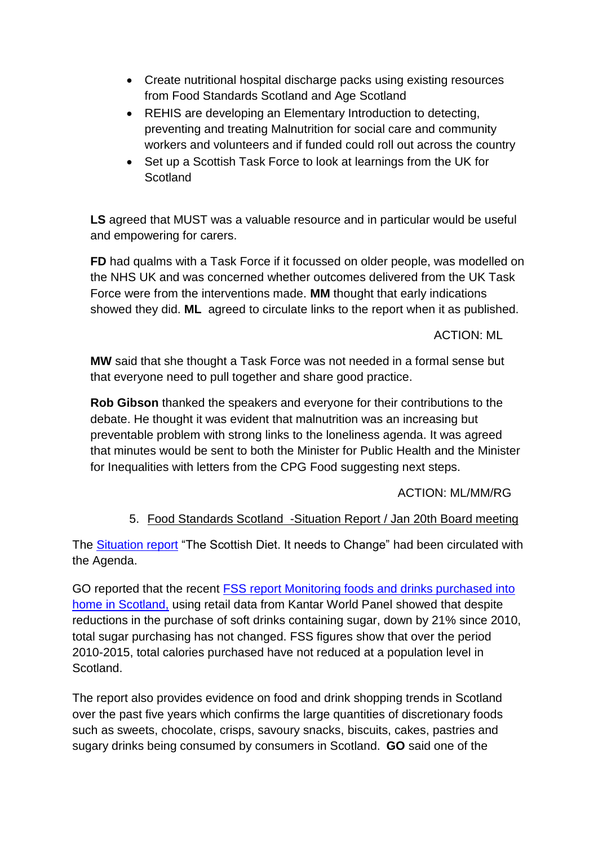- Create nutritional hospital discharge packs using existing resources from Food Standards Scotland and Age Scotland
- REHIS are developing an Elementary Introduction to detecting, preventing and treating Malnutrition for social care and community workers and volunteers and if funded could roll out across the country
- Set up a Scottish Task Force to look at learnings from the UK for **Scotland**

**LS** agreed that MUST was a valuable resource and in particular would be useful and empowering for carers.

**FD** had qualms with a Task Force if it focussed on older people, was modelled on the NHS UK and was concerned whether outcomes delivered from the UK Task Force were from the interventions made. **MM** thought that early indications showed they did. **ML** agreed to circulate links to the report when it as published.

ACTION: ML

**MW** said that she thought a Task Force was not needed in a formal sense but that everyone need to pull together and share good practice.

**Rob Gibson** thanked the speakers and everyone for their contributions to the debate. He thought it was evident that malnutrition was an increasing but preventable problem with strong links to the loneliness agenda. It was agreed that minutes would be sent to both the Minister for Public Health and the Minister for Inequalities with letters from the CPG Food suggesting next steps.

ACTION: ML/MM/RG

# 5. Food Standards Scotland -Situation Report / Jan 20th Board meeting

The [Situation report](http://www.foodstandards.gov.scot/sites/default/files/Situation%20Report%20-%20COMPLETE%20AND%20FINAL.pdf) "The Scottish Diet. It needs to Change" had been circulated with the Agenda.

GO reported that the recent [FSS report Monitoring foods and drinks purchased into](http://www.foodstandards.gov.scot/monitoring-foods-and-drinks-purchased-into-the-home-in-scotland)  [home in Scotland,](http://www.foodstandards.gov.scot/monitoring-foods-and-drinks-purchased-into-the-home-in-scotland) using retail data from Kantar World Panel showed that despite reductions in the purchase of soft drinks containing sugar, down by 21% since 2010, total sugar purchasing has not changed. FSS figures show that over the period 2010-2015, total calories purchased have not reduced at a population level in Scotland.

The report also provides evidence on food and drink shopping trends in Scotland over the past five years which confirms the large quantities of discretionary foods such as sweets, chocolate, crisps, savoury snacks, biscuits, cakes, pastries and sugary drinks being consumed by consumers in Scotland. **GO** said one of the